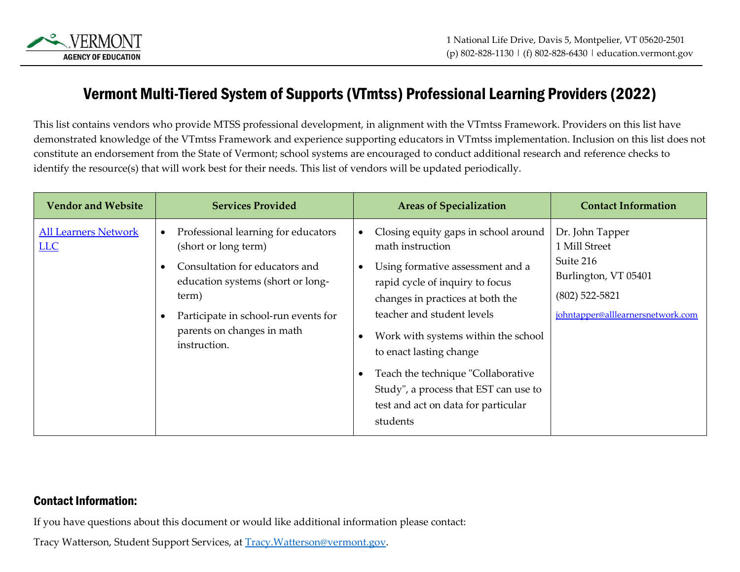

## Vermont Multi-Tiered System of Supports (VTmtss) Professional Learning Providers (2022)

This list contains vendors who provide MTSS professional development, in alignment with the VTmtss Framework. Providers on this list have demonstrated knowledge of the VTmtss Framework and experience supporting educators in VTmtss implementation. Inclusion on this list does not constitute an endorsement from the State of Vermont; school systems are encouraged to conduct additional research and reference checks to identify the resource(s) that will work best for their needs. This list of vendors will be updated periodically.

| <b>Vendor and Website</b>          | <b>Services Provided</b>                                                                                                                                                                                                          | <b>Areas of Specialization</b>                                                                                                                                                                                                                                                                                                                                                                        | <b>Contact Information</b>                                                                                                     |
|------------------------------------|-----------------------------------------------------------------------------------------------------------------------------------------------------------------------------------------------------------------------------------|-------------------------------------------------------------------------------------------------------------------------------------------------------------------------------------------------------------------------------------------------------------------------------------------------------------------------------------------------------------------------------------------------------|--------------------------------------------------------------------------------------------------------------------------------|
| <b>All Learners Network</b><br>LLC | Professional learning for educators<br>(short or long term)<br>Consultation for educators and<br>education systems (short or long-<br>term)<br>Participate in school-run events for<br>parents on changes in math<br>instruction. | Closing equity gaps in school around<br>math instruction<br>Using formative assessment and a<br>rapid cycle of inquiry to focus<br>changes in practices at both the<br>teacher and student levels<br>Work with systems within the school<br>to enact lasting change<br>Teach the technique "Collaborative<br>Study", a process that EST can use to<br>test and act on data for particular<br>students | Dr. John Tapper<br>1 Mill Street<br>Suite 216<br>Burlington, VT 05401<br>$(802)$ 522-5821<br>johntapper@alllearnersnetwork.com |

## Contact Information:

If you have questions about this document or would like additional information please contact:

Tracy Watterson, Student Support Services, at [Tracy.Watterson@vermont.gov.](mailto:Tracy.Watterson@vermont.gov)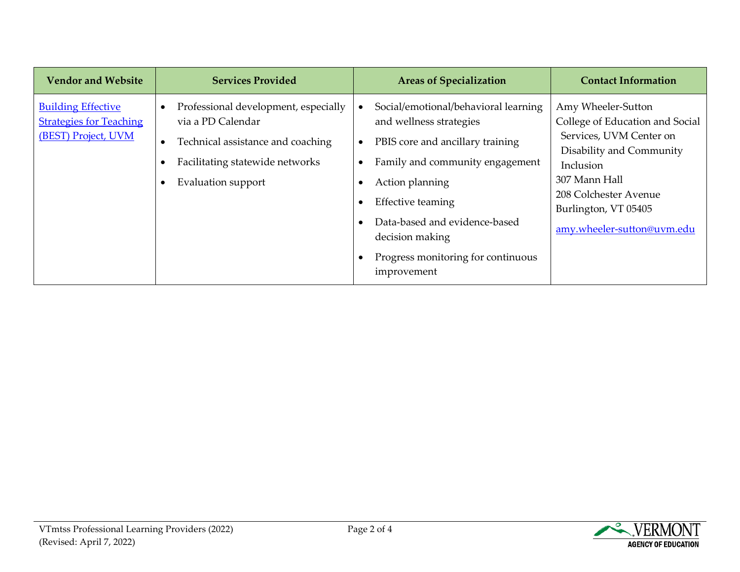| <b>Vendor and Website</b>                                                          | <b>Services Provided</b>                                                                                                                                                          | <b>Areas of Specialization</b>                                                                                                                                                                                                                                                          | <b>Contact Information</b>                                                                                                                                                                                                |
|------------------------------------------------------------------------------------|-----------------------------------------------------------------------------------------------------------------------------------------------------------------------------------|-----------------------------------------------------------------------------------------------------------------------------------------------------------------------------------------------------------------------------------------------------------------------------------------|---------------------------------------------------------------------------------------------------------------------------------------------------------------------------------------------------------------------------|
| <b>Building Effective</b><br><b>Strategies for Teaching</b><br>(BEST) Project, UVM | Professional development, especially<br>$\bullet$<br>via a PD Calendar<br>Technical assistance and coaching<br>$\bullet$<br>Facilitating statewide networks<br>Evaluation support | Social/emotional/behavioral learning<br>and wellness strategies<br>PBIS core and ancillary training<br>Family and community engagement<br>Action planning<br>Effective teaming<br>Data-based and evidence-based<br>decision making<br>Progress monitoring for continuous<br>improvement | Amy Wheeler-Sutton<br>College of Education and Social<br>Services, UVM Center on<br>Disability and Community<br>Inclusion<br>307 Mann Hall<br>208 Colchester Avenue<br>Burlington, VT 05405<br>amy.wheeler-sutton@uvm.edu |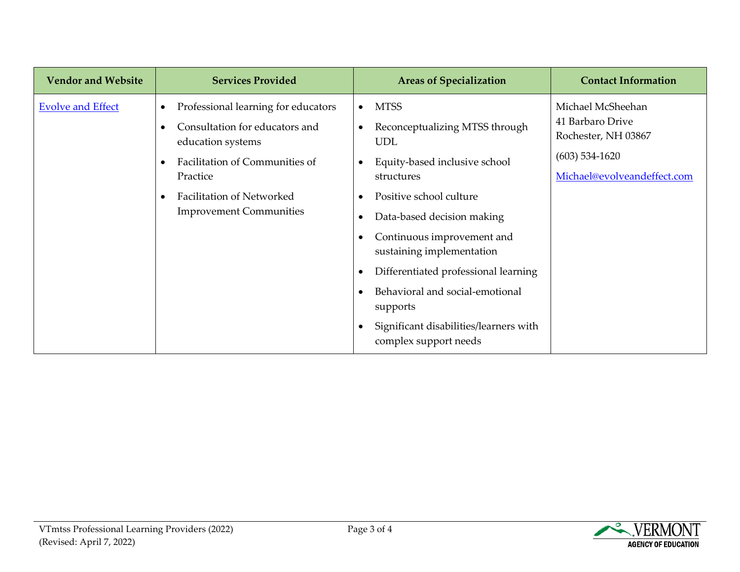| <b>Vendor and Website</b> | <b>Services Provided</b>                                                                                                                                                                                                                 | <b>Areas of Specialization</b>                                                                                                                                                                                                                                                                                                                                                            | <b>Contact Information</b>                                                                                      |
|---------------------------|------------------------------------------------------------------------------------------------------------------------------------------------------------------------------------------------------------------------------------------|-------------------------------------------------------------------------------------------------------------------------------------------------------------------------------------------------------------------------------------------------------------------------------------------------------------------------------------------------------------------------------------------|-----------------------------------------------------------------------------------------------------------------|
| <b>Evolve and Effect</b>  | Professional learning for educators<br>$\bullet$<br>Consultation for educators and<br>education systems<br>Facilitation of Communities of<br>$\bullet$<br>Practice<br><b>Facilitation of Networked</b><br><b>Improvement Communities</b> | <b>MTSS</b><br>$\bullet$<br>Reconceptualizing MTSS through<br><b>UDL</b><br>Equity-based inclusive school<br>structures<br>Positive school culture<br>Data-based decision making<br>$\bullet$<br>Continuous improvement and<br>sustaining implementation<br>Differentiated professional learning<br>Behavioral and social-emotional<br>supports<br>Significant disabilities/learners with | Michael McSheehan<br>41 Barbaro Drive<br>Rochester, NH 03867<br>$(603)$ 534-1620<br>Michael@evolveandeffect.com |
|                           |                                                                                                                                                                                                                                          | complex support needs                                                                                                                                                                                                                                                                                                                                                                     |                                                                                                                 |